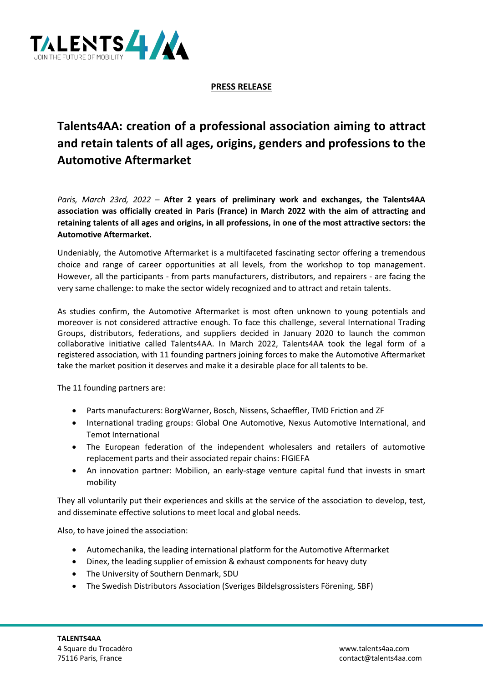

**PRESS RELEASE**

## **Talents4AA: creation of a professional association aiming to attract and retain talents of all ages, origins, genders and professions to the Automotive Aftermarket**

*Paris, March 23rd, 2022* – **After 2 years of preliminary work and exchanges, the Talents4AA association was officially created in Paris (France) in March 2022 with the aim of attracting and retaining talents of all ages and origins, in all professions, in one of the most attractive sectors: the Automotive Aftermarket.**

Undeniably, the Automotive Aftermarket is a multifaceted fascinating sector offering a tremendous choice and range of career opportunities at all levels, from the workshop to top management. However, all the participants - from parts manufacturers, distributors, and repairers - are facing the very same challenge: to make the sector widely recognized and to attract and retain talents.

As studies confirm, the Automotive Aftermarket is most often unknown to young potentials and moreover is not considered attractive enough. To face this challenge, several International Trading Groups, distributors, federations, and suppliers decided in January 2020 to launch the common collaborative initiative called Talents4AA. In March 2022, Talents4AA took the legal form of a registered association, with 11 founding partners joining forces to make the Automotive Aftermarket take the market position it deserves and make it a desirable place for all talents to be.

The 11 founding partners are:

- Parts manufacturers: BorgWarner, Bosch, Nissens, Schaeffler, TMD Friction and ZF
- International trading groups: Global One Automotive, Nexus Automotive International, and Temot International
- The European federation of the independent wholesalers and retailers of automotive replacement parts and their associated repair chains: FIGIEFA
- An innovation partner: Mobilion, an early-stage venture capital fund that invests in smart mobility

They all voluntarily put their experiences and skills at the service of the association to develop, test, and disseminate effective solutions to meet local and global needs.

Also, to have joined the association:

- Automechanika, the leading international platform for the Automotive Aftermarket
- Dinex, the leading supplier of emission & exhaust components for heavy duty
- The University of Southern Denmark, SDU
- The Swedish Distributors Association (Sveriges Bildelsgrossisters Förening, SBF)